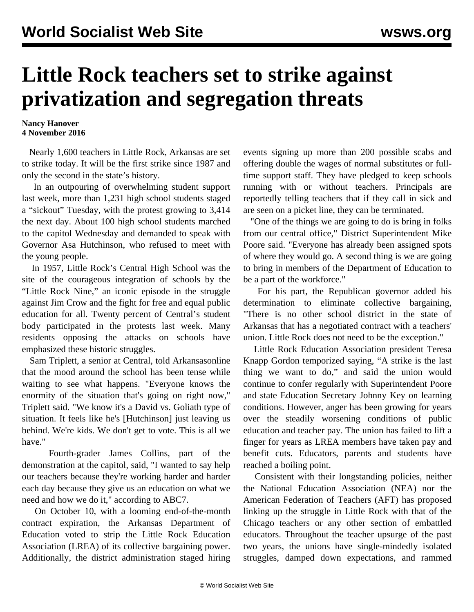## **Little Rock teachers set to strike against privatization and segregation threats**

## **Nancy Hanover 4 November 2016**

 Nearly 1,600 teachers in Little Rock, Arkansas are set to strike today. It will be the first strike since 1987 and only the second in the state's history.

 In an outpouring of overwhelming student support last week, more than 1,231 high school students staged a "sickout" Tuesday, with the protest growing to 3,414 the next day. About 100 high school students marched to the capitol Wednesday and demanded to speak with Governor Asa Hutchinson, who refused to meet with the young people.

 In 1957, Little Rock's Central High School was the site of the courageous integration of schools by the ["Little Rock Nine,"](/en/articles/2007/10/arka-o05.html) an iconic episode in the struggle against Jim Crow and the fight for free and equal public education for all. Twenty percent of Central's student body participated in the protests last week. Many residents opposing the attacks on schools have emphasized these historic struggles.

 Sam Triplett, a senior at Central, told Arkansasonline that the mood around the school has been tense while waiting to see what happens. "Everyone knows the enormity of the situation that's going on right now," Triplett said. "We know it's a David vs. Goliath type of situation. It feels like he's [Hutchinson] just leaving us behind. We're kids. We don't get to vote. This is all we have."

 Fourth-grader James Collins, part of the demonstration at the capitol, said, "I wanted to say help our teachers because they're working harder and harder each day because they give us an education on what we need and how we do it," according to ABC7.

 On October 10, with a looming end-of-the-month contract expiration, the Arkansas Department of Education voted to strip the Little Rock Education Association (LREA) of its collective bargaining power. Additionally, the district administration staged hiring events signing up more than 200 possible scabs and offering double the wages of normal substitutes or fulltime support staff. They have pledged to keep schools running with or without teachers. Principals are reportedly telling teachers that if they call in sick and are seen on a picket line, they can be terminated.

 "One of the things we are going to do is bring in folks from our central office," District Superintendent Mike Poore said. "Everyone has already been assigned spots of where they would go. A second thing is we are going to bring in members of the Department of Education to be a part of the workforce."

 For his part, the Republican governor added his determination to eliminate collective bargaining, "There is no other school district in the state of Arkansas that has a negotiated contract with a teachers' union. Little Rock does not need to be the exception."

 Little Rock Education Association president Teresa Knapp Gordon temporized saying, "A strike is the last thing we want to do," and said the union would continue to confer regularly with Superintendent Poore and state Education Secretary Johnny Key on learning conditions. However, anger has been growing for years over the steadily worsening conditions of public education and teacher pay. The union has failed to lift a finger for years as LREA members have taken pay and benefit cuts. Educators, parents and students have reached a boiling point.

 Consistent with their longstanding policies, neither the National Education Association (NEA) nor the American Federation of Teachers (AFT) has proposed linking up the struggle in Little Rock with that of the Chicago teachers or any other section of embattled educators. Throughout the teacher upsurge of the past two years, the unions have single-mindedly isolated struggles, damped down expectations, and rammed